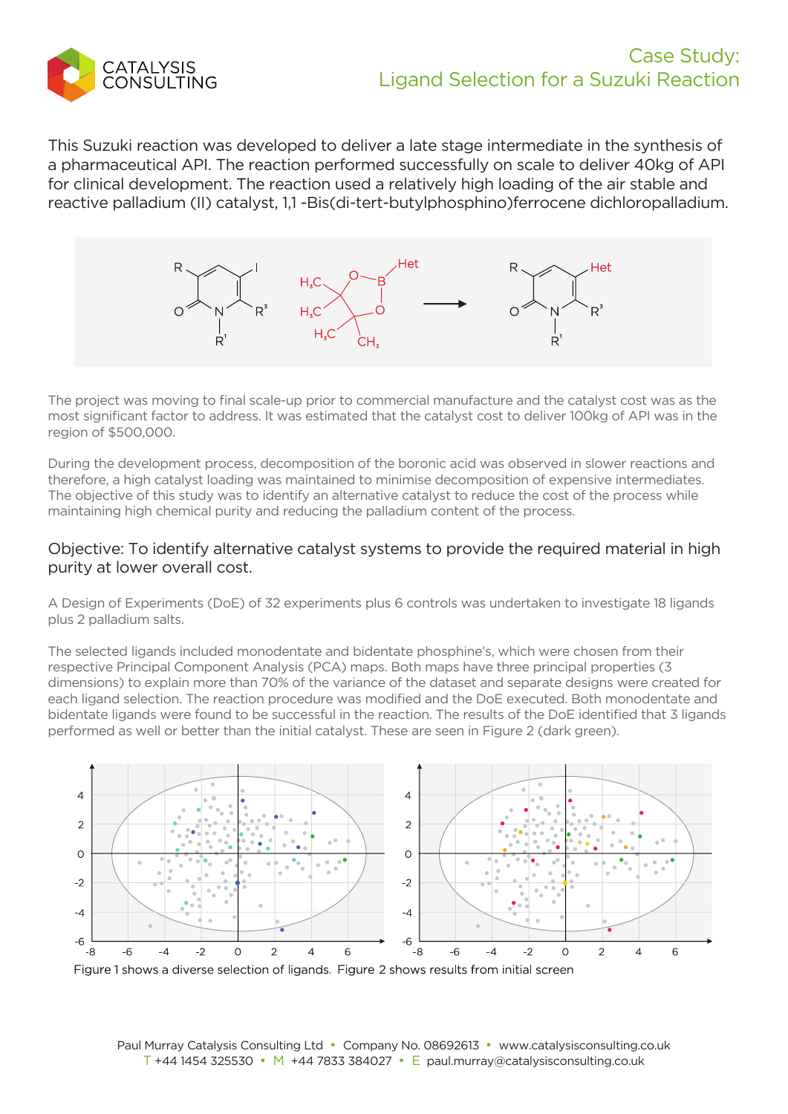

This Suzuki reaction was developed to deliver a late stage intermediate in the synthesis of a pharmaceutical API. The reaction performed successfully on scale to deliver 40kg of API for clinical development. The reaction used a relatively high loading of the air stable and reactive palladium (II) catalyst, 1,1 -Bis(di-tert-butylphosphino)ferrocene dichloropalladium.



The project was moving to final scale-up prior to commercial manufacture and the catalyst cost was as the most significant factor to address. It was estimated that the catalyst cost to deliver 100kg of API was in the region of \$500,000.

During the development process, decomposition of the boronic acid was observed in slower reactions and therefore, a high catalyst loading was maintained to minimise decomposition of expensive intermediates. The objective of this study was to identify an alternative catalyst to reduce the cost of the process while maintaining high chemical purity and reducing the palladium content of the process.

## Objective: To identify alternative catalyst systems to provide the required material in high purity at lower overall cost.

A Design of Experiments (DoE) of 32 experiments plus 6 controls was undertaken to investigate 18 ligands plus 2 palladium salts.

The selected ligands included monodentate and bidentate phosphine's, which were chosen from their respective Principal Component Analysis (PCA) maps. Both maps have three principal properties (3 dimensions) to explain more than 70% of the variance of the dataset and separate designs were created for each ligand selection. The reaction procedure was modified and the DoE executed. Both monodentate and bidentate ligands were found to be successful in the reaction. The results of the DoE identified that 3 ligands performed as well or better than the initial catalyst. These are seen in Figure 2 (dark green).